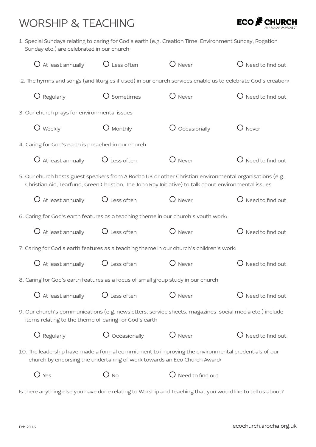## WORSHIP & TEACHING



1. Special Sundays relating to caring for God's earth (e.g. Creation Time, Environment Sunday, Rogation Sunday etc.) are celebrated in our church:

| $O$ At least annually                                                                                                                                                                                            | $\bigcirc$ Less often     | $\bigcup$ Never  | $\bigcup$ Need to find out  |  |  |  |  |
|------------------------------------------------------------------------------------------------------------------------------------------------------------------------------------------------------------------|---------------------------|------------------|-----------------------------|--|--|--|--|
| 2. The hymns and songs (and liturgies if used) in our church services enable us to celebrate God's creation:                                                                                                     |                           |                  |                             |  |  |  |  |
| $\bigcirc$ Regularly                                                                                                                                                                                             | O Sometimes               | $\bigcirc$ Never | $\bigcirc$ Need to find out |  |  |  |  |
| 3. Our church prays for environmental issues                                                                                                                                                                     |                           |                  |                             |  |  |  |  |
| $\bigcup$ Weekly                                                                                                                                                                                                 | $\bigcup$ Monthly         | Occasionally     | Never                       |  |  |  |  |
| 4. Caring for God's earth is preached in our church                                                                                                                                                              |                           |                  |                             |  |  |  |  |
| $O$ At least annually                                                                                                                                                                                            | $\bigcirc$ Less often     | $\bigcup$ Never  | Need to find out            |  |  |  |  |
| 5. Our church hosts guest speakers from A Rocha UK or other Christian environmental organisations (e.g.<br>Christian Aid, Tearfund, Green Christian, The John Ray Initiative) to talk about environmental issues |                           |                  |                             |  |  |  |  |
| $\bigcup$ At least annually                                                                                                                                                                                      | $\overline{O}$ Less often | $O$ Never        | $\bigcirc$ Need to find out |  |  |  |  |
| 6. Caring for God's earth features as a teaching theme in our church's youth work:                                                                                                                               |                           |                  |                             |  |  |  |  |
| $\bigcup$ At least annually                                                                                                                                                                                      | $\overline{O}$ Less often | $O$ Never        | $\bigcirc$ Need to find out |  |  |  |  |
| 7. Caring for God's earth features as a teaching theme in our church's children's work:                                                                                                                          |                           |                  |                             |  |  |  |  |
| $\bigcirc$ At least annually                                                                                                                                                                                     | $\bigcirc$ Less often     | $O$ Never        | $\bigcirc$ Need to find out |  |  |  |  |
| 8. Caring for God's earth features as a focus of small group study in our church:                                                                                                                                |                           |                  |                             |  |  |  |  |
| $O$ At least annually $O$ Less often                                                                                                                                                                             |                           | O Never          | $O$ Need to find out        |  |  |  |  |
| 9. Our church's communications (e.g. newsletters, service sheets, magazines, social media etc.) include<br>items relating to the theme of caring for God's earth                                                 |                           |                  |                             |  |  |  |  |
| Regularly                                                                                                                                                                                                        | $\bigcirc$ Occasionally   | $O$ Never        | Need to find out            |  |  |  |  |
| 10. The leadership have made a formal commitment to improving the environmental credentials of our<br>church by endorsing the undertaking of work towards an Eco Church Award:                                   |                           |                  |                             |  |  |  |  |
| $O$ Yes                                                                                                                                                                                                          | $\bigcirc$ no             | Need to find out |                             |  |  |  |  |

Is there anything else you have done relating to Worship and Teaching that you would like to tell us about?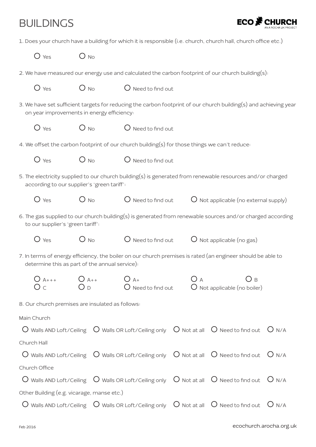## BUILDINGS



| 1. Does your church have a building for which it is responsible (i.e. church, church hall, church office etc.) |  |
|----------------------------------------------------------------------------------------------------------------|--|
|----------------------------------------------------------------------------------------------------------------|--|

| $O$ Yes                                                                                                                                                        | $O_{NQ}$ |                             |     |                                                                                                                                                              |  |  |
|----------------------------------------------------------------------------------------------------------------------------------------------------------------|----------|-----------------------------|-----|--------------------------------------------------------------------------------------------------------------------------------------------------------------|--|--|
| 2. We have measured our energy use and calculated the carbon footprint of our church building(s):                                                              |          |                             |     |                                                                                                                                                              |  |  |
| $O$ Yes                                                                                                                                                        | $O_{NO}$ | $\bigcirc$ Need to find out |     |                                                                                                                                                              |  |  |
| 3. We have set sufficient targets for reducing the carbon footprint of our church building(s) and achieving year<br>on year improvements in energy efficiency: |          |                             |     |                                                                                                                                                              |  |  |
| $\bigcirc$ Yes                                                                                                                                                 | $O_{NQ}$ | $\bigcirc$ Need to find out |     |                                                                                                                                                              |  |  |
| 4. We offset the carbon footprint of our church building(s) for those things we can't reduce:                                                                  |          |                             |     |                                                                                                                                                              |  |  |
| $O$ Yes                                                                                                                                                        | $O_{No}$ | $\bigcirc$ Need to find out |     |                                                                                                                                                              |  |  |
| according to our supplier's 'green tariff':                                                                                                                    |          |                             |     | 5. The electricity supplied to our church building(s) is generated from renewable resources and/or charged                                                   |  |  |
| $O$ Yes                                                                                                                                                        | $O$ No   |                             |     | $\bigcirc$ Need to find out $\qquad \bigcirc$ Not applicable (no external supply)                                                                            |  |  |
| 6. The gas supplied to our church building(s) is generated from renewable sources and/or charged according<br>to our supplier's 'green tariff':                |          |                             |     |                                                                                                                                                              |  |  |
| $\bigcirc$ Yes                                                                                                                                                 | $O_{NQ}$ |                             |     | $O$ Need to find out $O$ Not applicable (no gas)                                                                                                             |  |  |
| determine this as part of the annual service).                                                                                                                 |          |                             |     | 7. In terms of energy efficiency, the boiler on our church premises is rated (an engineer should be able to                                                  |  |  |
| $O_{A++}$ $O_{A++}$<br>O <sub>c</sub>                                                                                                                          | $O_D$    | $\bigcirc$ A+               | O a | Эв<br>$O$ Need to find out $O$ Not applicable (no boiler)                                                                                                    |  |  |
| 8. Our church premises are insulated as follows:                                                                                                               |          |                             |     |                                                                                                                                                              |  |  |
| Main Church                                                                                                                                                    |          |                             |     |                                                                                                                                                              |  |  |
|                                                                                                                                                                |          |                             |     | $\overline{O}$ Walls AND Loft/Ceiling $\overline{O}$ Walls OR Loft/Ceiling only $\overline{O}$ Not at all $\overline{O}$ Need to find out $\overline{O}$ N/A |  |  |
| Church Hall                                                                                                                                                    |          |                             |     |                                                                                                                                                              |  |  |
|                                                                                                                                                                |          |                             |     | $\overline{O}$ Walls AND Loft/Ceiling $\overline{O}$ Walls OR Loft/Ceiling only $\overline{O}$ Not at all $\overline{O}$ Need to find out $\overline{O}$ N/A |  |  |
| Church Office                                                                                                                                                  |          |                             |     |                                                                                                                                                              |  |  |
|                                                                                                                                                                |          |                             |     | $\overline{O}$ Walls AND Loft/Ceiling $\overline{O}$ Walls OR Loft/Ceiling only $\overline{O}$ Not at all $\overline{O}$ Need to find out $\overline{O}$ N/A |  |  |
| Other Building (e.g. vicarage, manse etc.)                                                                                                                     |          |                             |     |                                                                                                                                                              |  |  |

 $O$  Walls AND Loft/Ceiling  $O$  Walls OR Loft/Ceiling only  $O$  Not at all  $O$  Need to find out  $O$  N/A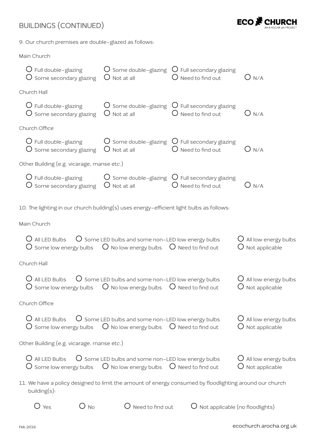#### BUILDINGS (CONTINUED)



9. Our church premises are double-glazed as follows:

| Main Church |
|-------------|
|             |

| $\bigcup$ Full double-glazing<br>$\bigcirc$ Some secondary glazing                                                                 | $O$ Some double-glazing<br>$\bigcirc$ Not at all                                                                                      | $\bigcup$ Full secondary glazing<br>$\bigcirc$ Need to find out                                  | $O$ n/a                                                     |
|------------------------------------------------------------------------------------------------------------------------------------|---------------------------------------------------------------------------------------------------------------------------------------|--------------------------------------------------------------------------------------------------|-------------------------------------------------------------|
| Church Hall                                                                                                                        |                                                                                                                                       |                                                                                                  |                                                             |
| $\bigcup$ Full double-glazing<br>$\overline{O}$ Some secondary glazing                                                             | $\bigcirc$ Not at all                                                                                                                 | $\bigcirc$ Some double-glazing $\bigcirc$ Full secondary glazing<br>$\bigcirc$ Need to find out  | $O$ n/a                                                     |
| Church Office                                                                                                                      |                                                                                                                                       |                                                                                                  |                                                             |
| $\bigcup$ Full double-glazing<br>$\bigcirc$ Some secondary glazing                                                                 | $\bigcirc$ Not at all                                                                                                                 | $\bigcirc$ Some double-glazing $\bigcirc$ Full secondary glazing<br>Need to find out             | $O$ n/a                                                     |
| Other Building (e.g. vicarage, manse etc.)                                                                                         |                                                                                                                                       |                                                                                                  |                                                             |
| $\bigcup$ Full double-glazing<br>$\bigcirc$ Some secondary glazing                                                                 | $\bigcirc$ Not at all                                                                                                                 | $\overline{O}$ Some double-glazing $\overline{O}$ Full secondary glazing<br>$O$ Need to find out | $O$ n/a                                                     |
| 10. The lighting in our church building(s) uses energy-efficient light bulbs as follows:                                           |                                                                                                                                       |                                                                                                  |                                                             |
| Main Church                                                                                                                        |                                                                                                                                       |                                                                                                  |                                                             |
| $\bigcup$ All LED Bulbs<br>$\overline{O}$ Some low energy bulbs $\overline{O}$ No low energy bulbs $\overline{O}$ Need to find out | $\overline{O}$ Some LED bulbs and some non-LED low energy bulbs                                                                       |                                                                                                  | $\bigcup$ All low energy bulbs<br>$\bigcirc$ Not applicable |
| Church Hall                                                                                                                        |                                                                                                                                       |                                                                                                  |                                                             |
| $\bigcup$ All LED Bulbs<br>$\bigcirc$ Some low energy bulbs $\bigcirc$ No low energy bulbs $\bigcirc$ Need to find out             | $\bigcirc$ Some LED bulbs and some non-LED low energy bulbs                                                                           |                                                                                                  | $\bigcup$ All low energy bulbs<br>$\bigcup$ Not applicable  |
| Church Office                                                                                                                      |                                                                                                                                       |                                                                                                  |                                                             |
| $\bigcup$ All LED Bulbs<br>$\bigcirc$ Some low energy bulbs $\bigcirc$ No low energy bulbs $\bigcirc$ Need to find out             | $\overline{O}$ Some LED bulbs and some non-LED low energy bulbs                                                                       |                                                                                                  | $\bigcirc$ All low energy bulbs<br>$\bigcup$ Not applicable |
| Other Building (e.g. vicarage, manse etc.)                                                                                         |                                                                                                                                       |                                                                                                  |                                                             |
| $\bigcup$ All LED Bulbs<br>$\bigcirc$ Some low energy bulbs                                                                        | $\overline{O}$ Some LED bulbs and some non-LED low energy bulbs<br>$\overline{O}$ No low energy bulbs $\overline{O}$ Need to find out |                                                                                                  | $\bigcup$ All low energy bulbs<br>$\bigcirc$ Not applicable |
| 11. We have a policy designed to limit the amount of energy consumed by floodlighting around our church<br>building(s):            |                                                                                                                                       |                                                                                                  |                                                             |
| $\bigcup$ Yes<br>$\bigcirc$ No                                                                                                     | $\bigcirc$ Need to find out                                                                                                           | $\bigcup$ Not applicable (no floodlights)                                                        |                                                             |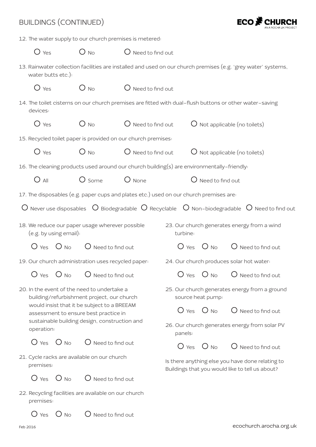| <b>BUILDINGS (CONTINUED)</b>                             |                        |                                                                                                     |                                                                                            |                                                                    |                             | ECO $\mathbf F$                                                                                                                          |
|----------------------------------------------------------|------------------------|-----------------------------------------------------------------------------------------------------|--------------------------------------------------------------------------------------------|--------------------------------------------------------------------|-----------------------------|------------------------------------------------------------------------------------------------------------------------------------------|
|                                                          |                        |                                                                                                     | 12. The water supply to our church premises is metered:                                    |                                                                    |                             |                                                                                                                                          |
| $O$ Yes                                                  |                        | $O_{NQ}$                                                                                            | $\bigcirc$ Need to find out                                                                |                                                                    |                             |                                                                                                                                          |
| water butts etc.):                                       |                        |                                                                                                     |                                                                                            |                                                                    |                             | 13. Rainwater collection facilities are installed and used on our church premises (e.g. 'grey water' systems,                            |
| $O$ Yes                                                  |                        | $O_{NQ}$                                                                                            | $\bigcirc$ Need to find out                                                                |                                                                    |                             |                                                                                                                                          |
| devices:                                                 |                        |                                                                                                     |                                                                                            |                                                                    |                             | 14. The toilet cisterns on our church premises are fitted with dual-flush buttons or other water-saving                                  |
| $O$ Yes                                                  |                        | $O_{NQ}$                                                                                            | $\bigcirc$ Need to find out                                                                |                                                                    |                             | $O$ Not applicable (no toilets)                                                                                                          |
|                                                          |                        |                                                                                                     | 15. Recycled toilet paper is provided on our church premises:                              |                                                                    |                             |                                                                                                                                          |
| $O$ Yes                                                  |                        | $O_{NQ}$                                                                                            | $\bigcup$ Need to find out                                                                 |                                                                    |                             | $\bigcirc$ Not applicable (no toilets)                                                                                                   |
|                                                          |                        |                                                                                                     | 16. The cleaning products used around our church building(s) are environmentally-friendly: |                                                                    |                             |                                                                                                                                          |
| $O$ All                                                  |                        | $O$ some                                                                                            | $O$ None                                                                                   |                                                                    | $\bigcirc$ Need to find out |                                                                                                                                          |
|                                                          |                        |                                                                                                     | 17. The disposables (e.g. paper cups and plates etc.) used on our church premises are:     |                                                                    |                             |                                                                                                                                          |
|                                                          |                        |                                                                                                     |                                                                                            |                                                                    |                             | $\bigcirc$ Never use disposables $\bigcirc$ Biodegradable $\bigcirc$ Recyclable $\bigcirc$ Non-biodegradable $\bigcirc$ Need to find out |
|                                                          | (e.g. by using email): | 18. We reduce our paper usage wherever possible                                                     |                                                                                            | turbine:                                                           |                             | 23. Our church generates energy from a wind                                                                                              |
|                                                          | $O$ Yes $O$ No         | $\bigcup$ Need to find out                                                                          |                                                                                            | $O$ Yes                                                            | $O_{\text{No}}$             | $\bigcup$ Need to find out                                                                                                               |
|                                                          |                        | 19. Our church administration uses recycled paper:                                                  |                                                                                            |                                                                    |                             | 24. Our church produces solar hot water:                                                                                                 |
|                                                          |                        | $\overline{O}$ Yes $\overline{O}$ No $\overline{O}$ Need to find out                                |                                                                                            |                                                                    |                             | $O$ Yes $O$ No $O$ Need to find out                                                                                                      |
|                                                          |                        | 20. In the event of the need to undertake a<br>building/refurbishment project, our church           |                                                                                            | 25. Our church generates energy from a ground<br>source heat pump: |                             |                                                                                                                                          |
|                                                          |                        | would insist that it be subject to a BREEAM<br>assessment to ensure best practice in                |                                                                                            |                                                                    |                             | $O$ Yes $O$ No $O$ Need to find out                                                                                                      |
| operation:                                               |                        | sustainable building design, construction and                                                       |                                                                                            | panels:                                                            |                             | 26. Our church generates energy from solar PV                                                                                            |
|                                                          |                        | $\overline{O}$ Yes $\overline{O}$ No $\overline{O}$ Need to find out                                |                                                                                            |                                                                    |                             | $\overline{O}$ Yes $\overline{O}$ No $\overline{O}$ Need to find out                                                                     |
| 21. Cycle racks are available on our church<br>premises: |                        | Is there anything else you have done relating to<br>Buildings that you would like to tell us about? |                                                                                            |                                                                    |                             |                                                                                                                                          |
|                                                          |                        | $\overline{O}$ Yes $\overline{O}$ No $\overline{O}$ Need to find out                                |                                                                                            |                                                                    |                             |                                                                                                                                          |
| premises:                                                |                        | 22. Recycling facilities are available on our church                                                |                                                                                            |                                                                    |                             |                                                                                                                                          |
| $\bigcup$ Yes                                            | $O$ No                 | $\bigcirc$ Need to find out                                                                         |                                                                                            |                                                                    |                             |                                                                                                                                          |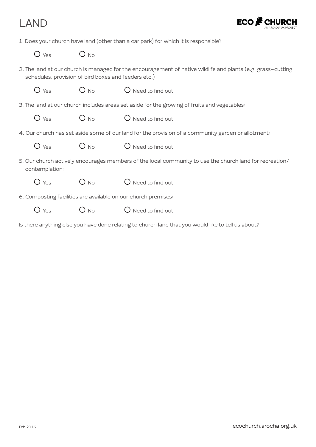### LAND



1. Does your church have land (other than a car park) for which it is responsible?

 $O$  Yes  $O$  No.

- 2. The land at our church is managed for the encouragement of native wildlife and plants (e.g. grass-cutting schedules, provision of bird boxes and feeders etc.)
- $O$  Yes  $O$  No  $O$  Need to find out
- 3. The land at our church includes areas set aside for the growing of fruits and vegetables:
	- $O$  Yes  $O$  No  $O$  Need to find out
- 4. Our church has set aside some of our land for the provision of a community garden or allotment:
	- $O$  Yes  $O$  No  $O$  Need to find out
- 5. Our church actively encourages members of the local community to use the church land for recreation/ contemplation:
	- $O$  Yes  $O$  No  $O$  Need to find out
- 6. Composting facilities are available on our church premises:
	- $O$  Yes  $O$  No  $O$  Need to find out
- Is there anything else you have done relating to church land that you would like to tell us about?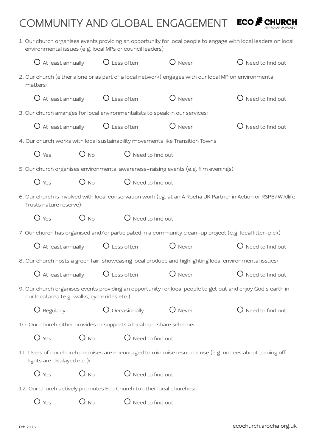# COMMUNITY AND GLOBAL ENGAGEMENT ECO<sup>S</sup> CHURCH

|                                                    |                                       | environmental issues (e.g. local MPs or council leaders)                     |                                                                                      | 1. Our church organises events providing an opportunity for local people to engage with local leaders on local  |
|----------------------------------------------------|---------------------------------------|------------------------------------------------------------------------------|--------------------------------------------------------------------------------------|-----------------------------------------------------------------------------------------------------------------|
| $\bigcup$ At least annually                        |                                       | $O$ Less often                                                               | $O$ Never                                                                            | $\bigcirc$ Need to find out                                                                                     |
| matters:                                           |                                       |                                                                              |                                                                                      | 2. Our church (either alone or as part of a local network) engages with our local MP on environmental           |
|                                                    |                                       | $\overline{O}$ At least annually $\overline{O}$ Less often                   | $O$ Never                                                                            | $\bigcirc$ Need to find out                                                                                     |
|                                                    |                                       | 3. Our church arranges for local environmentalists to speak in our services: |                                                                                      |                                                                                                                 |
| $\bigcirc$ At least annually                       |                                       | $\bigcirc$ Less often                                                        | $O$ Never                                                                            | $\bigcup$ Need to find out                                                                                      |
|                                                    |                                       |                                                                              | 4. Our church works with local sustainability movements like Transition Towns:       |                                                                                                                 |
| $O$ Yes                                            | $O$ No                                | $\bigcup$ Need to find out                                                   |                                                                                      |                                                                                                                 |
|                                                    |                                       |                                                                              | 5. Our church organises environmental awareness-raising events (e.g. film evenings): |                                                                                                                 |
| $O$ Yes                                            | $O_{NQ}$                              | $\bigcirc$ Need to find out                                                  |                                                                                      |                                                                                                                 |
| Trusts nature reserve):                            |                                       |                                                                              |                                                                                      | 6. Our church is involved with local conservation work (eg. at an A Rocha UK Partner in Action or RSPB/Wildlife |
| $O$ Yes                                            | $O_{NQ}$                              | $\bigcirc$ Need to find out                                                  |                                                                                      |                                                                                                                 |
|                                                    |                                       |                                                                              |                                                                                      | 7. Our church has organised and/or participated in a community clean-up project (e.g. local litter-pick)        |
| $\bigcirc$ At least annually                       |                                       | $O$ Less often                                                               | $O$ Never                                                                            | $\bigcirc$ Need to find out                                                                                     |
|                                                    |                                       |                                                                              |                                                                                      | 8. Our church hosts a green fair, showcasing local produce and highlighting local environmental issues:         |
|                                                    |                                       | $\bigcirc$ At least annually $\bigcirc$ Less often $\bigcirc$ Never          |                                                                                      | $\bigcup$ Need to find out                                                                                      |
| our local area (e.g. walks, cycle rides etc.):     |                                       |                                                                              |                                                                                      | 9. Our church organises events providing an opportunity for local people to get out and enjoy God's earth in    |
| $\bigcirc$ Regularly                               |                                       | $\bigcirc$ Occasionally                                                      | Never                                                                                | Need to find out                                                                                                |
|                                                    |                                       | 10. Our church either provides or supports a local car-share scheme:         |                                                                                      |                                                                                                                 |
| $O$ Yes                                            | $O_{NQ}$                              | $\bigcirc$ Need to find out                                                  |                                                                                      |                                                                                                                 |
| lights are displayed etc.):                        |                                       |                                                                              |                                                                                      | 11. Users of our church premises are encouraged to minimise resource use (e.g. notices about turning off        |
| $O$ Yes<br>$O_{No}$<br>$\bigcirc$ Need to find out |                                       |                                                                              |                                                                                      |                                                                                                                 |
|                                                    |                                       | 12. Our church actively promotes Eco Church to other local churches:         |                                                                                      |                                                                                                                 |
| $O$ Yes                                            | $O$ No<br>$\bigcirc$ Need to find out |                                                                              |                                                                                      |                                                                                                                 |
|                                                    |                                       |                                                                              |                                                                                      |                                                                                                                 |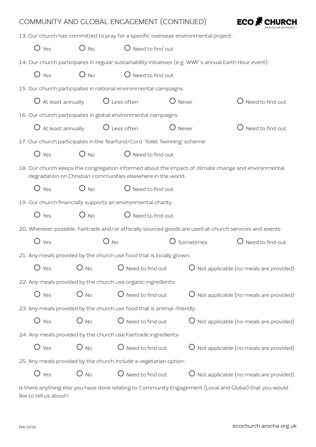|                              |          | COMMUNITY AND GLOBAL ENGAGEMENT (CONTINUED)                                |                                                                                                         | ECO Me Cl                                             |
|------------------------------|----------|----------------------------------------------------------------------------|---------------------------------------------------------------------------------------------------------|-------------------------------------------------------|
|                              |          |                                                                            | 13. Our church has committed to pray for a specific overseas environmental project:                     |                                                       |
| $O$ Yes                      | $O_{NQ}$ | $\bigcirc$ Need to find out                                                |                                                                                                         |                                                       |
|                              |          |                                                                            | 14. Our church participates in regular sustainability initiatives (e.g. WWF's annual Earth Hour event): |                                                       |
| $O$ Yes                      | $O_{NQ}$ | $\bigcirc$ Need to find out                                                |                                                                                                         |                                                       |
|                              |          | 15. Our church participates in national environmental campaigns            |                                                                                                         |                                                       |
| $\bigcirc$ At least annually |          | $\bigcirc$ Less often                                                      | $\bigcup$ Never                                                                                         | $\bigcup$ Need to find out                            |
|                              |          | 16. Our church participates in global environmental campaigns              |                                                                                                         |                                                       |
| $\bigcirc$ At least annually |          | $\bigcirc$ Less often                                                      | $\bigcup$ Never                                                                                         | $\bigcirc$ Need to find out                           |
|                              |          | 17. Our church participates in the Tearfund/Cord 'Toilet Twinning' scheme: |                                                                                                         |                                                       |
| $O$ Yes                      | $O_{NQ}$ | $\bigcirc$ Need to find out                                                |                                                                                                         |                                                       |
|                              |          | degradation on Christian communities elsewhere in the world:               | 18. Our church keeps the congregation informed about the impact of climate change and environmental     |                                                       |
| $O$ Yes                      | $O$ No   | $\bigcirc$ Need to find out                                                |                                                                                                         |                                                       |
|                              |          | 19. Our church financially supports an environmental charity:              |                                                                                                         |                                                       |
| $O$ Yes                      | $O$ No   | $\bigcup$ Need to find out                                                 |                                                                                                         |                                                       |
|                              |          |                                                                            | 20. Wherever possible, Fairtrade and/or ethically sourced goods are used at church services and events: |                                                       |
| $\n  1$ Yes                  |          | <b>No</b>                                                                  | Sometimes                                                                                               | $\bigcup$ Need to find out                            |
|                              |          | 21. Any meals provided by the church use food that is locally grown:       |                                                                                                         |                                                       |
| $O$ Yes                      | $O_{NO}$ | $\bigcirc$ Need to find out                                                |                                                                                                         | $\overline{O}$ Not applicable (no meals are provided) |
|                              |          | 22. Any meals provided by the church use organic ingredients:              |                                                                                                         |                                                       |
| $O$ Yes                      | $O$ No   | $\bigcirc$ Need to find out                                                |                                                                                                         | $\bigcirc$ Not applicable (no meals are provided)     |
|                              |          | 23. Any meals provided by the church use food that is animal-friendly:     |                                                                                                         |                                                       |
| $O$ Yes                      | $O_{NQ}$ | $\bigcirc$ Need to find out                                                |                                                                                                         | $\overline{O}$ Not applicable (no meals are provided) |
|                              |          | 24. Any meals provided by the church use Fairtrade ingredients:            |                                                                                                         |                                                       |
| $O$ Yes                      |          | $O_{\text{No}}$ $O_{\text{Need to find out}}$                              |                                                                                                         | $\overline{O}$ Not applicable (no meals are provided) |
|                              |          | 25. Any meals provided by the church include a vegetarian option:          |                                                                                                         |                                                       |
| $\bigcirc$ Yes               | $O_{NO}$ | $\bigcirc$ Need to find out                                                |                                                                                                         | $\overline{O}$ Not applicable (no meals are provided) |
|                              |          |                                                                            | Is there anything else you have done relating to Community Engagement (Local and Global) that you would |                                                       |

like to tell us about?